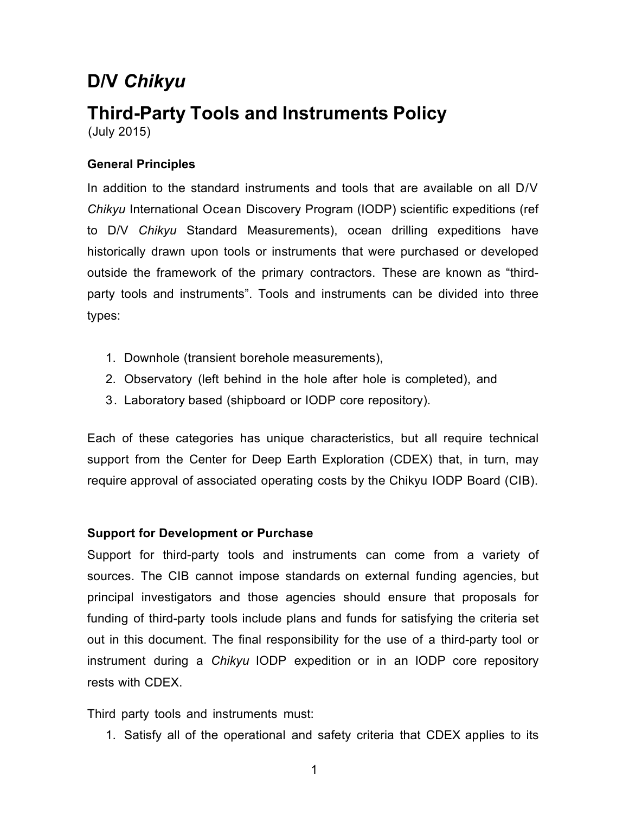# **D/V** *Chikyu*

# **Third-Party Tools and Instruments Policy** (July 2015)

**General Principles**

In addition to the standard instruments and tools that are available on all D/V *Chikyu* International Ocean Discovery Program (IODP) scientific expeditions (ref to D/V *Chikyu* Standard Measurements), ocean drilling expeditions have historically drawn upon tools or instruments that were purchased or developed outside the framework of the primary contractors. These are known as "thirdparty tools and instruments". Tools and instruments can be divided into three types:

- 1. Downhole (transient borehole measurements),
- 2. Observatory (left behind in the hole after hole is completed), and
- 3. Laboratory based (shipboard or IODP core repository).

Each of these categories has unique characteristics, but all require technical support from the Center for Deep Earth Exploration (CDEX) that, in turn, may require approval of associated operating costs by the Chikyu IODP Board (CIB).

#### **Support for Development or Purchase**

Support for third-party tools and instruments can come from a variety of sources. The CIB cannot impose standards on external funding agencies, but principal investigators and those agencies should ensure that proposals for funding of third-party tools include plans and funds for satisfying the criteria set out in this document. The final responsibility for the use of a third-party tool or instrument during a *Chikyu* IODP expedition or in an IODP core repository rests with CDEX.

Third party tools and instruments must:

1. Satisfy all of the operational and safety criteria that CDEX applies to its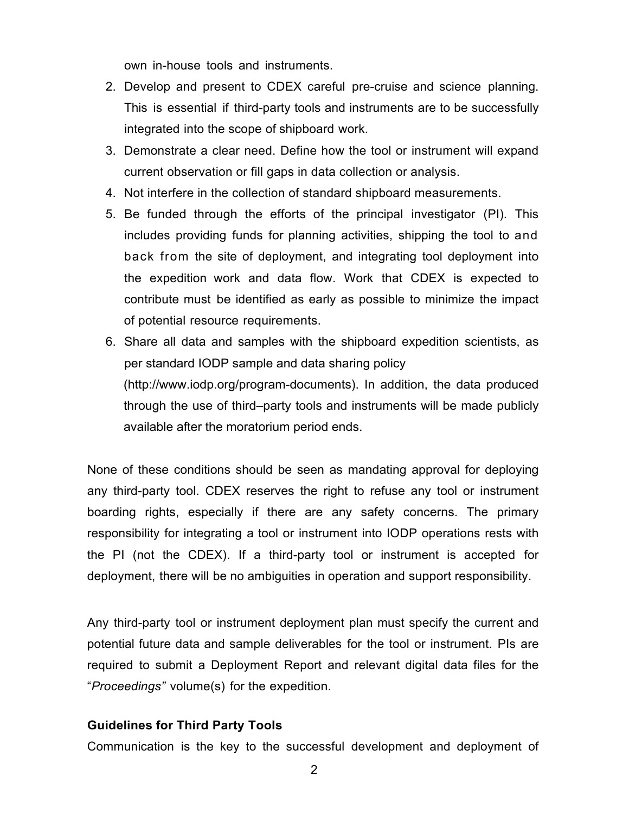own in-house tools and instruments.

- 2. Develop and present to CDEX careful pre-cruise and science planning. This is essential if third-party tools and instruments are to be successfully integrated into the scope of shipboard work.
- 3. Demonstrate a clear need. Define how the tool or instrument will expand current observation or fill gaps in data collection or analysis.
- 4. Not interfere in the collection of standard shipboard measurements.
- 5. Be funded through the efforts of the principal investigator (PI). This includes providing funds for planning activities, shipping the tool to and back from the site of deployment, and integrating tool deployment into the expedition work and data flow. Work that CDEX is expected to contribute must be identified as early as possible to minimize the impact of potential resource requirements.
- 6. Share all data and samples with the shipboard expedition scientists, as per standard IODP sample and data sharing policy (http://www.iodp.org/program-documents). In addition, the data produced through the use of third–party tools and instruments will be made publicly available after the moratorium period ends.

None of these conditions should be seen as mandating approval for deploying any third-party tool. CDEX reserves the right to refuse any tool or instrument boarding rights, especially if there are any safety concerns. The primary responsibility for integrating a tool or instrument into IODP operations rests with the PI (not the CDEX). If a third-party tool or instrument is accepted for deployment, there will be no ambiguities in operation and support responsibility.

Any third-party tool or instrument deployment plan must specify the current and potential future data and sample deliverables for the tool or instrument. PIs are required to submit a Deployment Report and relevant digital data files for the "*Proceedings"* volume(s) for the expedition.

#### **Guidelines for Third Party Tools**

Communication is the key to the successful development and deployment of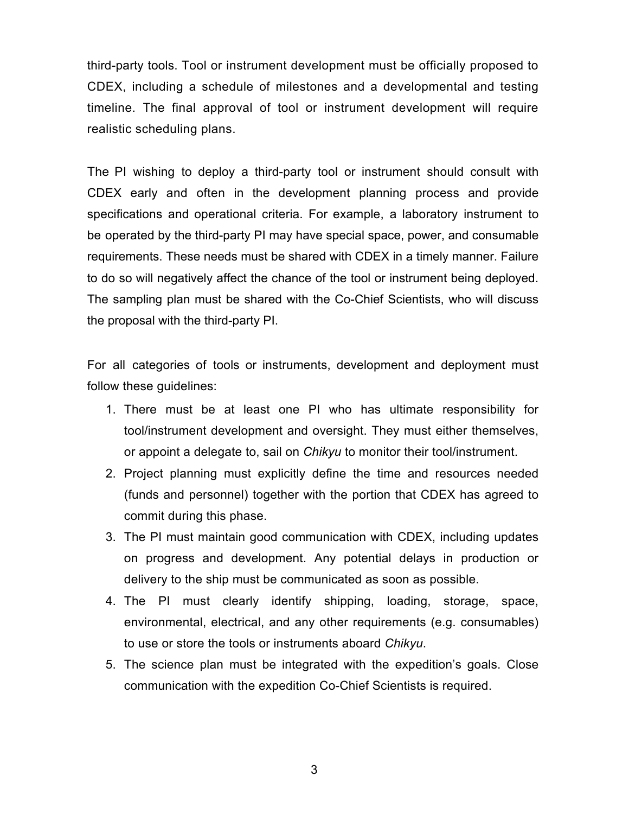third-party tools. Tool or instrument development must be officially proposed to CDEX, including a schedule of milestones and a developmental and testing timeline. The final approval of tool or instrument development will require realistic scheduling plans.

The PI wishing to deploy a third-party tool or instrument should consult with CDEX early and often in the development planning process and provide specifications and operational criteria. For example, a laboratory instrument to be operated by the third-party PI may have special space, power, and consumable requirements. These needs must be shared with CDEX in a timely manner. Failure to do so will negatively affect the chance of the tool or instrument being deployed. The sampling plan must be shared with the Co-Chief Scientists, who will discuss the proposal with the third-party PI.

For all categories of tools or instruments, development and deployment must follow these guidelines:

- 1. There must be at least one PI who has ultimate responsibility for tool/instrument development and oversight. They must either themselves, or appoint a delegate to, sail on *Chikyu* to monitor their tool/instrument.
- 2. Project planning must explicitly define the time and resources needed (funds and personnel) together with the portion that CDEX has agreed to commit during this phase.
- 3. The PI must maintain good communication with CDEX, including updates on progress and development. Any potential delays in production or delivery to the ship must be communicated as soon as possible.
- 4. The PI must clearly identify shipping, loading, storage, space, environmental, electrical, and any other requirements (e.g. consumables) to use or store the tools or instruments aboard *Chikyu*.
- 5. The science plan must be integrated with the expedition's goals. Close communication with the expedition Co-Chief Scientists is required.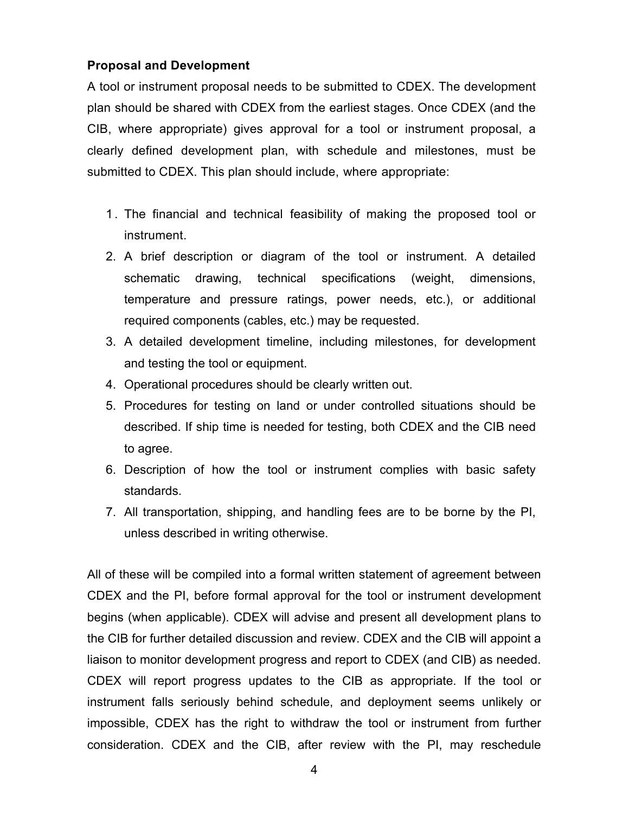#### **Proposal and Development**

A tool or instrument proposal needs to be submitted to CDEX. The development plan should be shared with CDEX from the earliest stages. Once CDEX (and the CIB, where appropriate) gives approval for a tool or instrument proposal, a clearly defined development plan, with schedule and milestones, must be submitted to CDEX. This plan should include, where appropriate:

- 1. The financial and technical feasibility of making the proposed tool or instrument.
- 2. A brief description or diagram of the tool or instrument. A detailed schematic drawing, technical specifications (weight, dimensions, temperature and pressure ratings, power needs, etc.), or additional required components (cables, etc.) may be requested.
- 3. A detailed development timeline, including milestones, for development and testing the tool or equipment.
- 4. Operational procedures should be clearly written out.
- 5. Procedures for testing on land or under controlled situations should be described. If ship time is needed for testing, both CDEX and the CIB need to agree.
- 6. Description of how the tool or instrument complies with basic safety standards.
- 7. All transportation, shipping, and handling fees are to be borne by the PI, unless described in writing otherwise.

All of these will be compiled into a formal written statement of agreement between CDEX and the PI, before formal approval for the tool or instrument development begins (when applicable). CDEX will advise and present all development plans to the CIB for further detailed discussion and review. CDEX and the CIB will appoint a liaison to monitor development progress and report to CDEX (and CIB) as needed. CDEX will report progress updates to the CIB as appropriate. If the tool or instrument falls seriously behind schedule, and deployment seems unlikely or impossible, CDEX has the right to withdraw the tool or instrument from further consideration. CDEX and the CIB, after review with the PI, may reschedule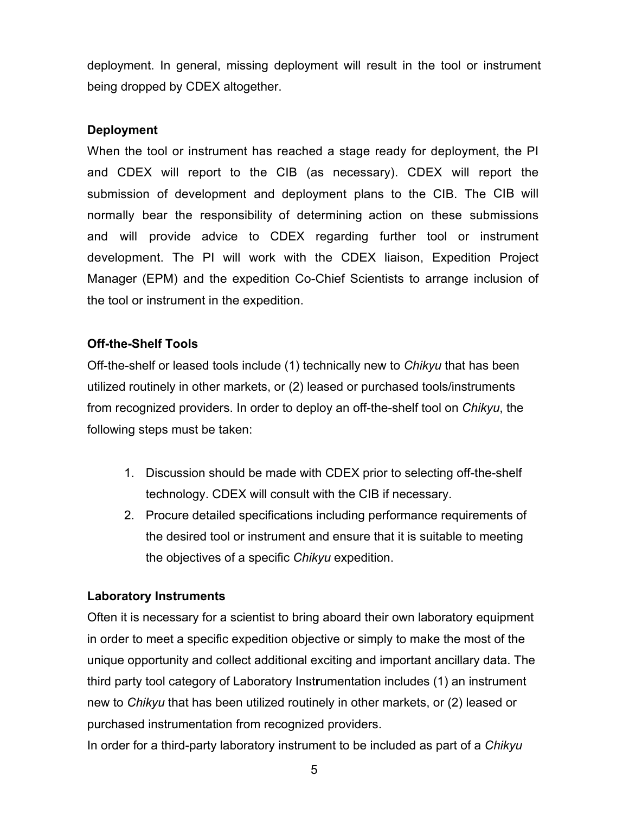deployment. In general, missing deployment will result in the tool or instrument being dropped by CDEX altogether.

#### **Deployment**

When the tool or instrument has reached a stage ready for deployment, the PI and CDEX will report to the CIB (as necessary). CDEX will report the submission of development and deployment plans to the CIB. The CIB will normally bear the responsibility of determining action on these submissions and will provide advice to CDEX regarding further tool or instrument development. The PI will work with the CDEX liaison, Expedition Project Manager (EPM) and the expedition Co-Chief Scientists to arrange inclusion of the tool or instrument in the expedition.

## **Off-the-Shelf Tools**

Off-the-shelf or leased tools include (1) technically new to *Chikyu* that has been utilized routinely in other markets, or (2) leased or purchased tools/instruments from recognized providers. In order to deploy an off-the-shelf tool on *Chikyu*, the following steps must be taken:

- 1. Discussion should be made with CDEX prior to selecting off-the-shelf technology. CDEX will consult with the CIB if necessary.
- 2. Procure detailed specifications including performance requirements of the desired tool or instrument and ensure that it is suitable to meeting the objectives of a specific *Chikyu* expedition.

## **Laboratory Instruments**

Often it is necessary for a scientist to bring aboard their own laboratory equipment in order to meet a specific expedition objective or simply to make the most of the unique opportunity and collect additional exciting and important ancillary data. The third party tool category of Laboratory Inst**r**umentation includes (1) an instrument new to *Chikyu* that has been utilized routinely in other markets, or (2) leased or purchased instrumentation from recognized providers.

In order for a third-party laboratory instrument to be included as part of a *Chikyu*